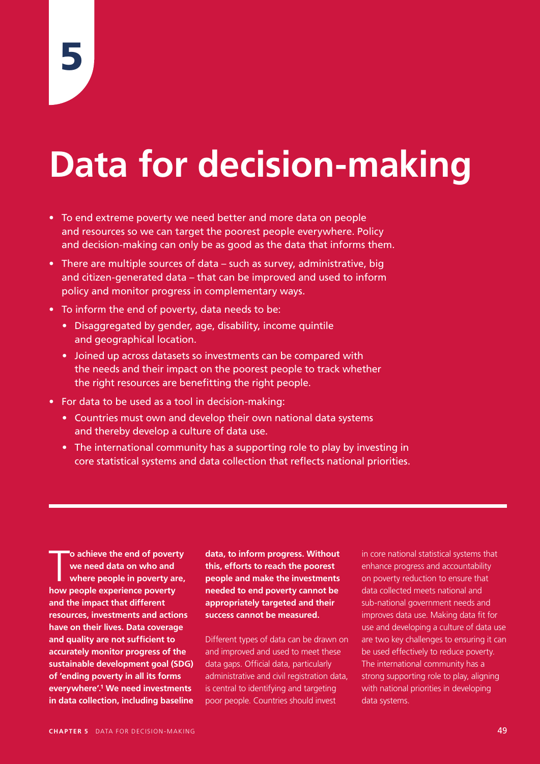# **Data for decision-making**

- To end extreme poverty we need better and more data on people and resources so we can target the poorest people everywhere. Policy and decision-making can only be as good as the data that informs them.
- There are multiple sources of data such as survey, administrative, big and citizen-generated data – that can be improved and used to inform policy and monitor progress in complementary ways.
- To inform the end of poverty, data needs to be:
	- Disaggregated by gender, age, disability, income quintile and geographical location.
	- Joined up across datasets so investments can be compared with the needs and their impact on the poorest people to track whether the right resources are benefitting the right people.
- For data to be used as a tool in decision-making:
	- Countries must own and develop their own national data systems and thereby develop a culture of data use.
	- The international community has a supporting role to play by investing in core statistical systems and data collection that reflects national priorities.

**homorry and School School School School School School School School School School School School School School School School School School School School School School School School School School School School School School o achieve the end of poverty we need data on who and where people in poverty are, and the impact that different resources, investments and actions have on their lives. Data coverage and quality are not sufficient to accurately monitor progress of the sustainable development goal (SDG) of 'ending poverty in all its forms everywhere'.1 We need investments in data collection, including baseline** 

**data, to inform progress. Without this, efforts to reach the poorest people and make the investments needed to end poverty cannot be appropriately targeted and their success cannot be measured.** 

Different types of data can be drawn on and improved and used to meet these data gaps. Official data, particularly administrative and civil registration data, is central to identifying and targeting poor people. Countries should invest

in core national statistical systems that enhance progress and accountability on poverty reduction to ensure that data collected meets national and sub-national government needs and improves data use. Making data fit for use and developing a culture of data use are two key challenges to ensuring it can be used effectively to reduce poverty. The international community has a strong supporting role to play, aligning with national priorities in developing data systems.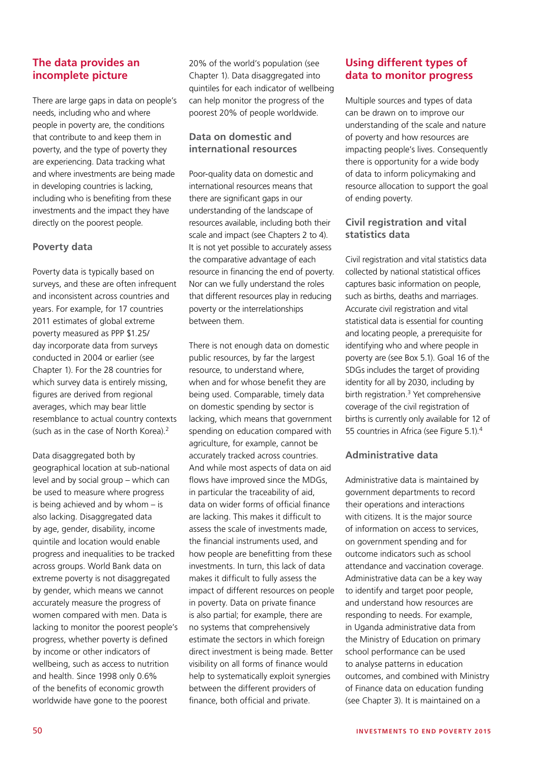# **The data provides an incomplete picture**

There are large gaps in data on people's needs, including who and where people in poverty are, the conditions that contribute to and keep them in poverty, and the type of poverty they are experiencing. Data tracking what and where investments are being made in developing countries is lacking, including who is benefiting from these investments and the impact they have directly on the poorest people.

## **Poverty data**

Poverty data is typically based on surveys, and these are often infrequent and inconsistent across countries and years. For example, for 17 countries 2011 estimates of global extreme poverty measured as PPP \$1.25/ day incorporate data from surveys conducted in 2004 or earlier (see Chapter 1). For the 28 countries for which survey data is entirely missing, figures are derived from regional averages, which may bear little resemblance to actual country contexts (such as in the case of North Korea).2

Data disaggregated both by geographical location at sub-national level and by social group – which can be used to measure where progress is being achieved and by whom – is also lacking. Disaggregated data by age, gender, disability, income quintile and location would enable progress and inequalities to be tracked across groups. World Bank data on extreme poverty is not disaggregated by gender, which means we cannot accurately measure the progress of women compared with men. Data is lacking to monitor the poorest people's progress, whether poverty is defined by income or other indicators of wellbeing, such as access to nutrition and health. Since 1998 only 0.6% of the benefits of economic growth worldwide have gone to the poorest

20% of the world's population (see Chapter 1). Data disaggregated into quintiles for each indicator of wellbeing can help monitor the progress of the poorest 20% of people worldwide.

# **Data on domestic and international resources**

Poor-quality data on domestic and international resources means that there are significant gaps in our understanding of the landscape of resources available, including both their scale and impact (see Chapters 2 to 4). It is not yet possible to accurately assess the comparative advantage of each resource in financing the end of poverty. Nor can we fully understand the roles that different resources play in reducing poverty or the interrelationships between them.

There is not enough data on domestic public resources, by far the largest resource, to understand where, when and for whose benefit they are being used. Comparable, timely data on domestic spending by sector is lacking, which means that government spending on education compared with agriculture, for example, cannot be accurately tracked across countries. And while most aspects of data on aid flows have improved since the MDGs, in particular the traceability of aid, data on wider forms of official finance are lacking. This makes it difficult to assess the scale of investments made, the financial instruments used, and how people are benefitting from these investments. In turn, this lack of data makes it difficult to fully assess the impact of different resources on people in poverty. Data on private finance is also partial; for example, there are no systems that comprehensively estimate the sectors in which foreign direct investment is being made. Better visibility on all forms of finance would help to systematically exploit synergies between the different providers of finance, both official and private.

# **Using different types of data to monitor progress**

Multiple sources and types of data can be drawn on to improve our understanding of the scale and nature of poverty and how resources are impacting people's lives. Consequently there is opportunity for a wide body of data to inform policymaking and resource allocation to support the goal of ending poverty.

# **Civil registration and vital statistics data**

Civil registration and vital statistics data collected by national statistical offices captures basic information on people, such as births, deaths and marriages. Accurate civil registration and vital statistical data is essential for counting and locating people, a prerequisite for identifying who and where people in poverty are (see Box 5.1). Goal 16 of the SDGs includes the target of providing identity for all by 2030, including by birth registration.<sup>3</sup> Yet comprehensive coverage of the civil registration of births is currently only available for 12 of 55 countries in Africa (see Figure 5.1).4

# **Administrative data**

Administrative data is maintained by government departments to record their operations and interactions with citizens. It is the major source of information on access to services, on government spending and for outcome indicators such as school attendance and vaccination coverage. Administrative data can be a key way to identify and target poor people, and understand how resources are responding to needs. For example, in Uganda administrative data from the Ministry of Education on primary school performance can be used to analyse patterns in education outcomes, and combined with Ministry of Finance data on education funding (see Chapter 3). It is maintained on a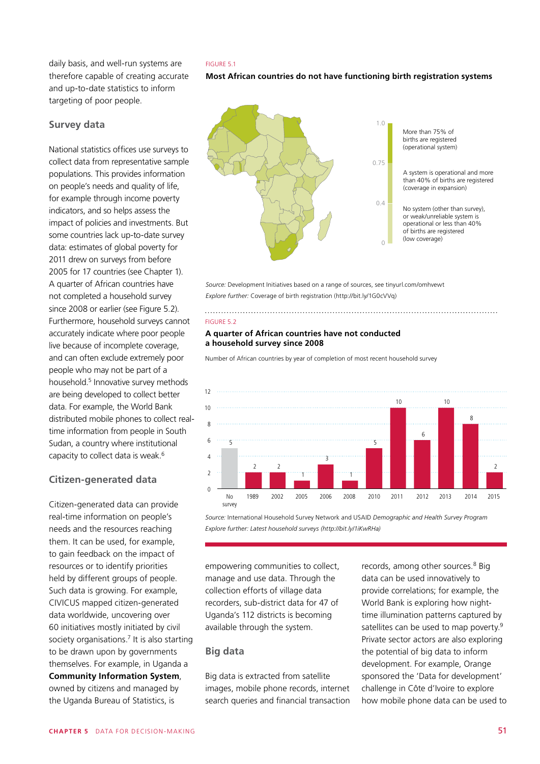daily basis, and well-run systems are therefore capable of creating accurate and up-to-date statistics to inform targeting of poor people.

### **Survey data**

National statistics offices use surveys to collect data from representative sample populations. This provides information on people's needs and quality of life, for example through income poverty indicators, and so helps assess the impact of policies and investments. But some countries lack up-to-date survey data: estimates of global poverty for 2011 drew on surveys from before 2005 for 17 countries (see Chapter 1). A quarter of African countries have not completed a household survey since 2008 or earlier (see Figure 5.2). Furthermore, household surveys cannot accurately indicate where poor people live because of incomplete coverage, and can often exclude extremely poor people who may not be part of a household.5 Innovative survey methods are being developed to collect better data. For example, the World Bank distributed mobile phones to collect realtime information from people in South Sudan, a country where institutional capacity to collect data is weak.6

## **Citizen-generated data**

Citizen-generated data can provide real-time information on people's needs and the resources reaching them. It can be used, for example, to gain feedback on the impact of resources or to identify priorities held by different groups of people. Such data is growing. For example, CIVICUS mapped citizen-generated data worldwide, uncovering over 60 initiatives mostly initiated by civil society organisations.<sup>7</sup> It is also starting to be drawn upon by governments themselves. For example, in Uganda a **[Community Information System](http://www.ubos.org/statistical-activities/community-systems/district-profiling/community-statistics/)**, owned by citizens and managed by the Uganda Bureau of Statistics, is



**Most African countries do not have functioning birth registration systems**



*Source:* Development Initiatives based on a range of sources, see tinyurl.com/omhvewt *Explore further:* Coverage of birth registration (http://bit.ly/1G0cVVq)

#### FIGURE 5.2

#### **A quarter of African countries have not conducted a household survey since 2008**

Number of African countries by year of completion of most recent household survey



*Source:* International Household Survey Network and USAID *Demographic and Health Survey Program Explore further: Latest household surveys (http://bit.ly/1iKwRHa)*

empowering communities to collect, manage and use data. Through the collection efforts of village data recorders, sub-district data for 47 of Uganda's 112 districts is becoming available through the system.

## **Big data**

Big data is extracted from satellite images, mobile phone records, internet search queries and financial transaction records, among other sources.<sup>8</sup> Big data can be used innovatively to provide correlations; for example, the World Bank is exploring how nighttime illumination patterns captured by satellites can be used to map poverty.<sup>9</sup> Private sector actors are also exploring the potential of big data to inform development. For example, Orange sponsored the 'Data for development' challenge in Côte d'Ivoire to explore how mobile phone data can be used to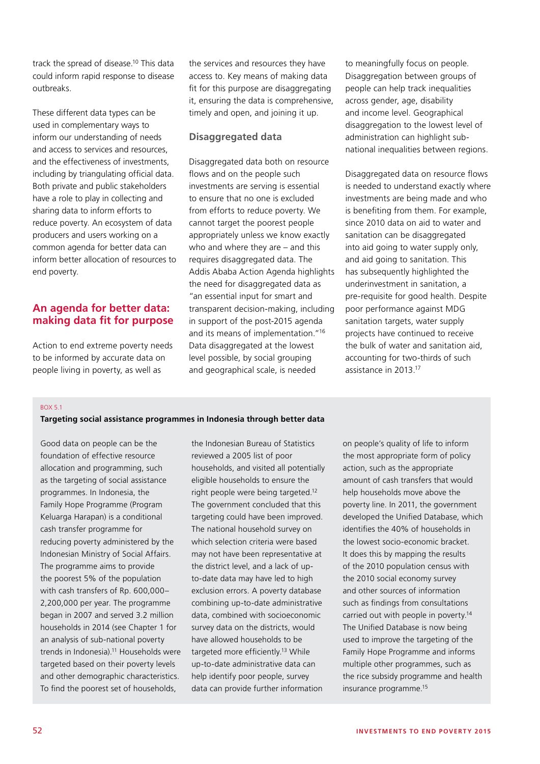track the spread of disease.10 This data could inform rapid response to disease outbreaks.

These different data types can be used in complementary ways to inform our understanding of needs and access to services and resources, and the effectiveness of investments, including by triangulating official data. Both private and public stakeholders have a role to play in collecting and sharing data to inform efforts to reduce poverty. An ecosystem of data producers and users working on a common agenda for better data can inform better allocation of resources to end poverty.

# **An agenda for better data: making data fit for purpose**

Action to end extreme poverty needs to be informed by accurate data on people living in poverty, as well as

the services and resources they have access to. Key means of making data fit for this purpose are disaggregating it, ensuring the data is comprehensive, timely and open, and joining it up.

# **Disaggregated data**

Disaggregated data both on resource flows and on the people such investments are serving is essential to ensure that no one is excluded from efforts to reduce poverty. We cannot target the poorest people appropriately unless we know exactly who and where they are – and this requires disaggregated data. The Addis Ababa Action Agenda highlights the need for disaggregated data as "an essential input for smart and transparent decision-making, including in support of the post-2015 agenda and its means of implementation."16 Data disaggregated at the lowest level possible, by social grouping and geographical scale, is needed

to meaningfully focus on people. Disaggregation between groups of people can help track inequalities across gender, age, disability and income level. Geographical disaggregation to the lowest level of administration can highlight subnational inequalities between regions.

Disaggregated data on resource flows is needed to understand exactly where investments are being made and who is benefiting from them. For example, since 2010 data on aid to water and sanitation can be disaggregated into aid going to water supply only, and aid going to sanitation. This has subsequently highlighted the underinvestment in sanitation, a pre-requisite for good health. Despite poor performance against MDG sanitation targets, water supply projects have continued to receive the bulk of water and sanitation aid, accounting for two-thirds of such assistance in 2013.17

#### $ROX$  5.1

#### **Targeting social assistance programmes in Indonesia through better data**

Good data on people can be the foundation of effective resource allocation and programming, such as the targeting of social assistance programmes. In Indonesia, the Family Hope Programme (Program Keluarga Harapan) is a conditional cash transfer programme for reducing poverty administered by the Indonesian Ministry of Social Affairs. The programme aims to provide the poorest 5% of the population with cash transfers of Rp. 600,000– 2,200,000 per year. The programme began in 2007 and served 3.2 million households in 2014 (see Chapter 1 for an analysis of sub-national poverty trends in Indonesia)<sup>11</sup> Households were targeted based on their poverty levels and other demographic characteristics. To find the poorest set of households,

the Indonesian Bureau of Statistics reviewed a 2005 list of poor households, and visited all potentially eligible households to ensure the right people were being targeted.<sup>12</sup> The government concluded that this targeting could have been improved. The national household survey on which selection criteria were based may not have been representative at the district level, and a lack of upto-date data may have led to high exclusion errors. A poverty database combining up-to-date administrative data, combined with socioeconomic survey data on the districts, would have allowed households to be targeted more efficiently.<sup>13</sup> While up-to-date administrative data can help identify poor people, survey data can provide further information

on people's quality of life to inform the most appropriate form of policy action, such as the appropriate amount of cash transfers that would help households move above the poverty line. In 2011, the government developed the Unified Database, which identifies the 40% of households in the lowest socio-economic bracket. It does this by mapping the results of the 2010 population census with the 2010 social economy survey and other sources of information such as findings from consultations carried out with people in poverty.<sup>14</sup> The Unified Database is now being used to improve the targeting of the Family Hope Programme and informs multiple other programmes, such as the rice subsidy programme and health insurance programme.15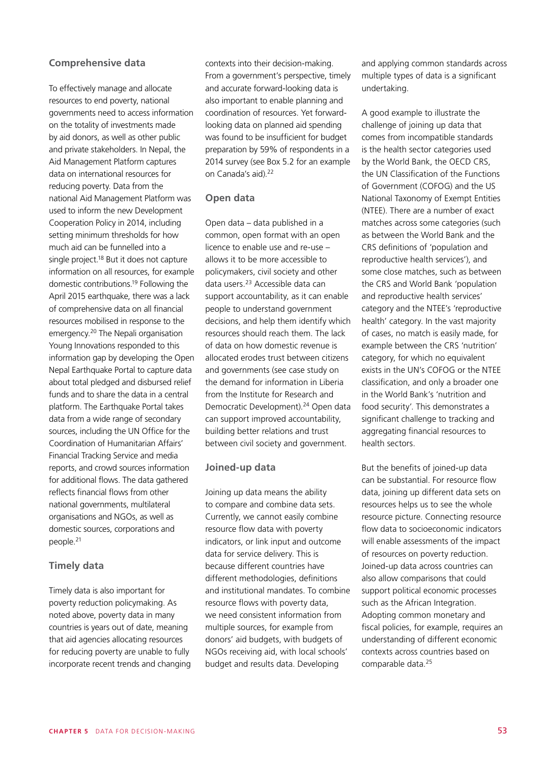## **Comprehensive data**

To effectively manage and allocate resources to end poverty, national governments need to access information on the totality of investments made by aid donors, as well as other public and private stakeholders. In Nepal, the Aid Management Platform captures data on international resources for reducing poverty. Data from the national Aid Management Platform was used to inform the new Development Cooperation Policy in 2014, including setting minimum thresholds for how much aid can be funnelled into a single project.<sup>18</sup> But it does not capture information on all resources, for example domestic contributions.19 Following the April 2015 earthquake, there was a lack of comprehensive data on all financial resources mobilised in response to the emergency.20 The Nepali organisation Young Innovations responded to this information gap by developing the Open Nepal Earthquake Portal to capture data about total pledged and disbursed relief funds and to share the data in a central platform. The Earthquake Portal takes data from a wide range of secondary sources, including the UN Office for the Coordination of Humanitarian Affairs' Financial Tracking Service and media reports, and crowd sources information for additional flows. The data gathered reflects financial flows from other national governments, multilateral organisations and NGOs, as well as domestic sources, corporations and people.<sup>21</sup>

## **Timely data**

Timely data is also important for poverty reduction policymaking. As noted above, poverty data in many countries is years out of date, meaning that aid agencies allocating resources for reducing poverty are unable to fully incorporate recent trends and changing contexts into their decision-making. From a government's perspective, timely and accurate forward-looking data is also important to enable planning and coordination of resources. Yet forwardlooking data on planned aid spending was found to be insufficient for budget preparation by 59% of respondents in a 2014 survey (see Box 5.2 for an example on Canada's aid).<sup>22</sup>

### **Open data**

Open data – data published in a common, open format with an open licence to enable use and re-use – allows it to be more accessible to policymakers, civil society and other data users.23 Accessible data can support accountability, as it can enable people to understand government decisions, and help them identify which resources should reach them. The lack of data on how domestic revenue is allocated erodes trust between citizens and governments (see case study on the demand for information in Liberia from the Institute for Research and Democratic Development).<sup>24</sup> Open data can support improved accountability, building better relations and trust between civil society and government.

#### **Joined-up data**

Joining up data means the ability to compare and combine data sets. Currently, we cannot easily combine resource flow data with poverty indicators, or link input and outcome data for service delivery. This is because different countries have different methodologies, definitions and institutional mandates. To combine resource flows with poverty data, we need consistent information from multiple sources, for example from donors' aid budgets, with budgets of NGOs receiving aid, with local schools' budget and results data. Developing

and applying common standards across multiple types of data is a significant undertaking.

A good example to illustrate the challenge of joining up data that comes from incompatible standards is the health sector categories used by the World Bank, the OECD CRS, the UN Classification of the Functions of Government (COFOG) and the US National Taxonomy of Exempt Entities (NTEE). There are a number of exact matches across some categories (such as between the World Bank and the CRS definitions of 'population and reproductive health services'), and some close matches, such as between the CRS and World Bank 'population and reproductive health services' category and the NTEE's 'reproductive health' category. In the vast majority of cases, no match is easily made, for example between the CRS 'nutrition' category, for which no equivalent exists in the UN's COFOG or the NTEE classification, and only a broader one in the World Bank's 'nutrition and food security'. This demonstrates a significant challenge to tracking and aggregating financial resources to health sectors.

But the benefits of joined-up data can be substantial. For resource flow data, joining up different data sets on resources helps us to see the whole resource picture. Connecting resource flow data to socioeconomic indicators will enable assessments of the impact of resources on poverty reduction. Joined-up data across countries can also allow comparisons that could support political economic processes such as the African Integration. Adopting common monetary and fiscal policies, for example, requires an understanding of different economic contexts across countries based on comparable data.25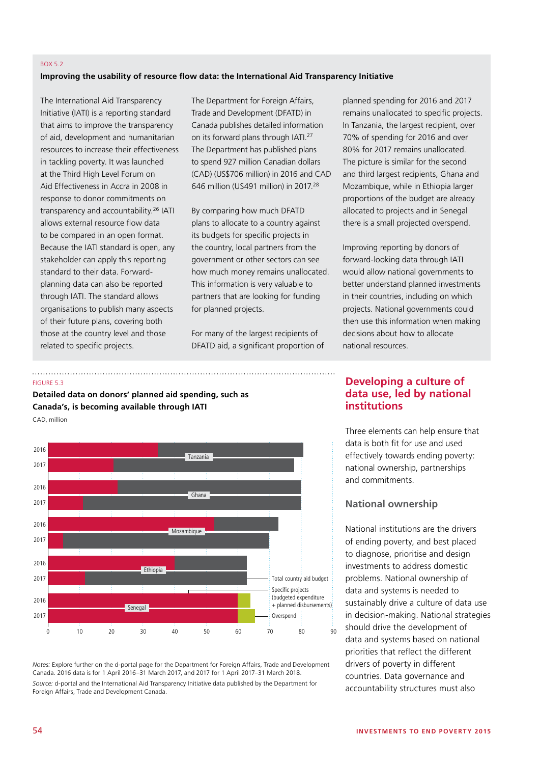#### BOX 5.2

#### **Improving the usability of resource flow data: the International Aid Transparency Initiative**

The International Aid Transparency Initiative (IATI) is a reporting standard that aims to improve the transparency of aid, development and humanitarian resources to increase their effectiveness in tackling poverty. It was launched at the Third High Level Forum on Aid Effectiveness in Accra in 2008 in response to donor commitments on transparency and accountability.26 IATI allows external resource flow data to be compared in an open format. Because the IATI standard is open, any stakeholder can apply this reporting standard to their data. Forwardplanning data can also be reported through IATI. The standard allows organisations to publish many aspects of their future plans, covering both those at the country level and those related to specific projects.

The Department for Foreign Affairs, Trade and Development (DFATD) in Canada publishes detailed information on its forward plans through IATI.27 The Department has published plans to spend 927 million Canadian dollars (CAD) (US\$706 million) in 2016 and CAD 646 million (U\$491 million) in 2017.28

By comparing how much DFATD plans to allocate to a country against its budgets for specific projects in the country, local partners from the government or other sectors can see how much money remains unallocated. This information is very valuable to partners that are looking for funding for planned projects.

For many of the largest recipients of DFATD aid, a significant proportion of planned spending for 2016 and 2017 remains unallocated to specific projects. In Tanzania, the largest recipient, over 70% of spending for 2016 and over 80% for 2017 remains unallocated. The picture is similar for the second and third largest recipients, Ghana and Mozambique, while in Ethiopia larger proportions of the budget are already allocated to projects and in Senegal there is a small projected overspend.

Improving reporting by donors of forward-looking data through IATI would allow national governments to better understand planned investments in their countries, including on which projects. National governments could then use this information when making decisions about how to allocate national resources.

#### FIGURE 5.3

**Detailed data on donors' planned aid spending, such as Canada's, is becoming available through IATI**





*Notes:* Explore further on the d-portal page for the Department for Foreign Affairs, Trade and Development Canada. 2016 data is for 1 April 2016–31 March 2017, and 2017 for 1 April 2017–31 March 2018. *Source:* d-portal and the International Aid Transparency Initiative data published by the Department for Foreign Affairs, Trade and Development Canada.

# **Developing a culture of data use, led by national institutions**

Three elements can help ensure that data is both fit for use and used effectively towards ending poverty: national ownership, partnerships and commitments.

## **National ownership**

National institutions are the drivers of ending poverty, and best placed to diagnose, prioritise and design investments to address domestic problems. National ownership of data and systems is needed to sustainably drive a culture of data use in decision-making. National strategies should drive the development of data and systems based on national priorities that reflect the different drivers of poverty in different countries. Data governance and accountability structures must also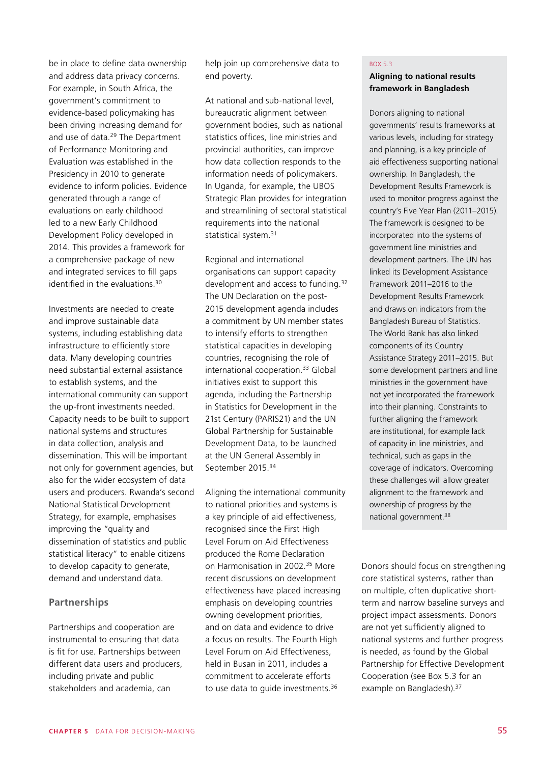be in place to define data ownership and address data privacy concerns. For example, in South Africa, the government's commitment to evidence-based policymaking has been driving increasing demand for and use of data.<sup>29</sup> The Department of Performance Monitoring and Evaluation was established in the Presidency in 2010 to generate evidence to inform policies. Evidence generated through a range of evaluations on early childhood led to a new Early Childhood Development Policy developed in 2014. This provides a framework for a comprehensive package of new and integrated services to fill gaps identified in the evaluations.30

Investments are needed to create and improve sustainable data systems, including establishing data infrastructure to efficiently store data. Many developing countries need substantial external assistance to establish systems, and the international community can support the up-front investments needed. Capacity needs to be built to support national systems and structures in data collection, analysis and dissemination. This will be important not only for government agencies, but also for the wider ecosystem of data users and producers. Rwanda's second National Statistical Development Strategy, for example, emphasises improving the "quality and dissemination of statistics and public statistical literacy" to enable citizens to develop capacity to generate, demand and understand data.

# **Partnerships**

Partnerships and cooperation are instrumental to ensuring that data is fit for use. Partnerships between different data users and producers, including private and public stakeholders and academia, can

help join up comprehensive data to end poverty.

At national and sub-national level, bureaucratic alignment between government bodies, such as national statistics offices, line ministries and provincial authorities, can improve how data collection responds to the information needs of policymakers. In Uganda, for example, the UBOS Strategic Plan provides for integration and streamlining of sectoral statistical requirements into the national statistical system.<sup>31</sup>

Regional and international organisations can support capacity development and access to funding.<sup>32</sup> The UN Declaration on the post-2015 development agenda includes a commitment by UN member states to intensify efforts to strengthen statistical capacities in developing countries, recognising the role of international cooperation.33 Global initiatives exist to support this agenda, including the Partnership in Statistics for Development in the 21st Century (PARIS21) and the UN Global Partnership for Sustainable Development Data, to be launched at the UN General Assembly in September 2015.<sup>34</sup>

Aligning the international community to national priorities and systems is a key principle of aid effectiveness, recognised since the First High Level Forum on Aid Effectiveness produced the Rome Declaration on Harmonisation in 2002.35 More recent discussions on development effectiveness have placed increasing emphasis on developing countries owning development priorities, and on data and evidence to drive a focus on results. The Fourth High Level Forum on Aid Effectiveness, held in Busan in 2011, includes a commitment to accelerate efforts to use data to quide investments.<sup>36</sup>

#### BOX 5.3

## **Aligning to national results framework in Bangladesh**

Donors aligning to national governments' results frameworks at various levels, including for strategy and planning, is a key principle of aid effectiveness supporting national ownership. In Bangladesh, the Development Results Framework is used to monitor progress against the country's Five Year Plan (2011–2015). The framework is designed to be incorporated into the systems of government line ministries and development partners. The UN has linked its Development Assistance Framework 2011–2016 to the Development Results Framework and draws on indicators from the Bangladesh Bureau of Statistics. The World Bank has also linked components of its Country Assistance Strategy 2011–2015. But some development partners and line ministries in the government have not yet incorporated the framework into their planning. Constraints to further aligning the framework are institutional, for example lack of capacity in line ministries, and technical, such as gaps in the coverage of indicators. Overcoming these challenges will allow greater alignment to the framework and ownership of progress by the national government.38

Donors should focus on strengthening core statistical systems, rather than on multiple, often duplicative shortterm and narrow baseline surveys and project impact assessments. Donors are not yet sufficiently aligned to national systems and further progress is needed, as found by the Global Partnership for Effective Development Cooperation (see Box 5.3 for an example on Bangladesh). 37